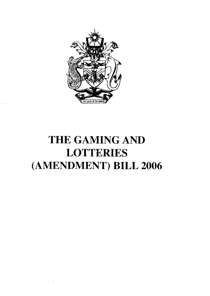

# THE GAMING AND **LOTTERIES** (AMENDMENT) BILL 2006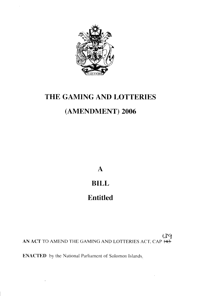

## THE GAMING AND LOTTERIES

### (AMENDMENT) 2006

 $\mathbf{A}$ 

#### **BILL**

### **Entitled**

139 AN ACT TO AMEND THE GAMING AND LOTTERIES ACT, CAP H43

**ENACTED** by the National Parliament of Solomon Islands.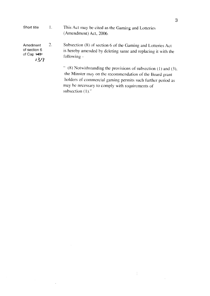| Short title                                                | $\mathbf{I}$ . | This Act may be cited as the Gaming and Lotteries<br>(Amendment) Act, 2006.                                                                                                                                                                                                  |
|------------------------------------------------------------|----------------|------------------------------------------------------------------------------------------------------------------------------------------------------------------------------------------------------------------------------------------------------------------------------|
| Amedment<br>of section 6<br>of Cap $\overline{143}$<br>139 | 2.             | Subsection (8) of section 6 of the Gaming and Lotteries Act<br>is hereby amended by deleting same and replacing it with the<br>following -                                                                                                                                   |
|                                                            |                | $\degree$ (8) Notwithstanding the provisions of subsection (1) and (3),<br>the Minster may on the recommendation of the Board grant<br>holders of commercial gaming permits such further period as<br>may be necessary to comply with requirements of<br>subsection $(1)$ ." |

 $\frac{1}{4}$  .

 $\ddot{\phantom{a}}$ 

 $\hat{\mathcal{A}}$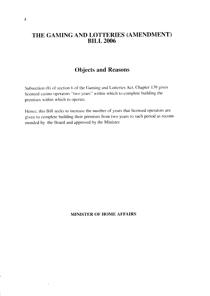#### THE GAMING AND LOTTERIES (AMENDMENT) **BILL 2006**

#### **Objects and Reasons**

Subsection (8) of section 6 of the Gaming and Lotteries Act, Chapter 139 gives licensed casino operators "two years" within which to complete building the premises within which to operate.

Hence, this Bill seeks to increase the number of years that licensed operators are given to complete building their premises from two years to such period as recommended by the Board and approved by the Minister.

#### **MINISTER OF HOME AFFAIRS**